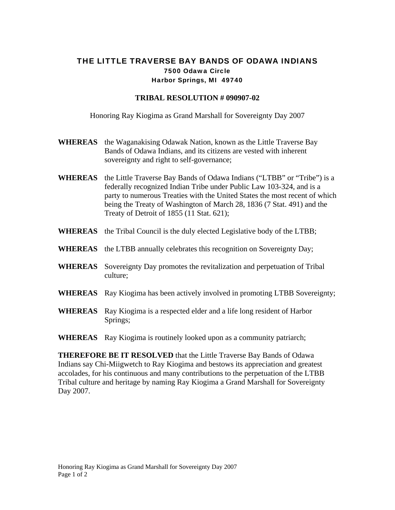## THE LITTLE TRAVERSE BAY BANDS OF ODAWA INDIANS 7500 Odawa Circle Harbor Springs, MI 49740

## **TRIBAL RESOLUTION # 090907-02**

Honoring Ray Kiogima as Grand Marshall for Sovereignty Day 2007

- **WHEREAS** the Waganakising Odawak Nation, known as the Little Traverse Bay Bands of Odawa Indians, and its citizens are vested with inherent sovereignty and right to self-governance;
- **WHEREAS** the Little Traverse Bay Bands of Odawa Indians ("LTBB" or "Tribe") is a federally recognized Indian Tribe under Public Law 103-324, and is a party to numerous Treaties with the United States the most recent of which being the Treaty of Washington of March 28, 1836 (7 Stat. 491) and the Treaty of Detroit of 1855 (11 Stat. 621);
- **WHEREAS** the Tribal Council is the duly elected Legislative body of the LTBB;
- **WHEREAS** the LTBB annually celebrates this recognition on Sovereignty Day;
- **WHEREAS** Sovereignty Day promotes the revitalization and perpetuation of Tribal culture;
- **WHEREAS** Ray Kiogima has been actively involved in promoting LTBB Sovereignty;
- **WHEREAS** Ray Kiogima is a respected elder and a life long resident of Harbor Springs;
- **WHEREAS** Ray Kiogima is routinely looked upon as a community patriarch;

**THEREFORE BE IT RESOLVED** that the Little Traverse Bay Bands of Odawa Indians say Chi-Miigwetch to Ray Kiogima and bestows its appreciation and greatest accolades, for his continuous and many contributions to the perpetuation of the LTBB Tribal culture and heritage by naming Ray Kiogima a Grand Marshall for Sovereignty Day 2007.